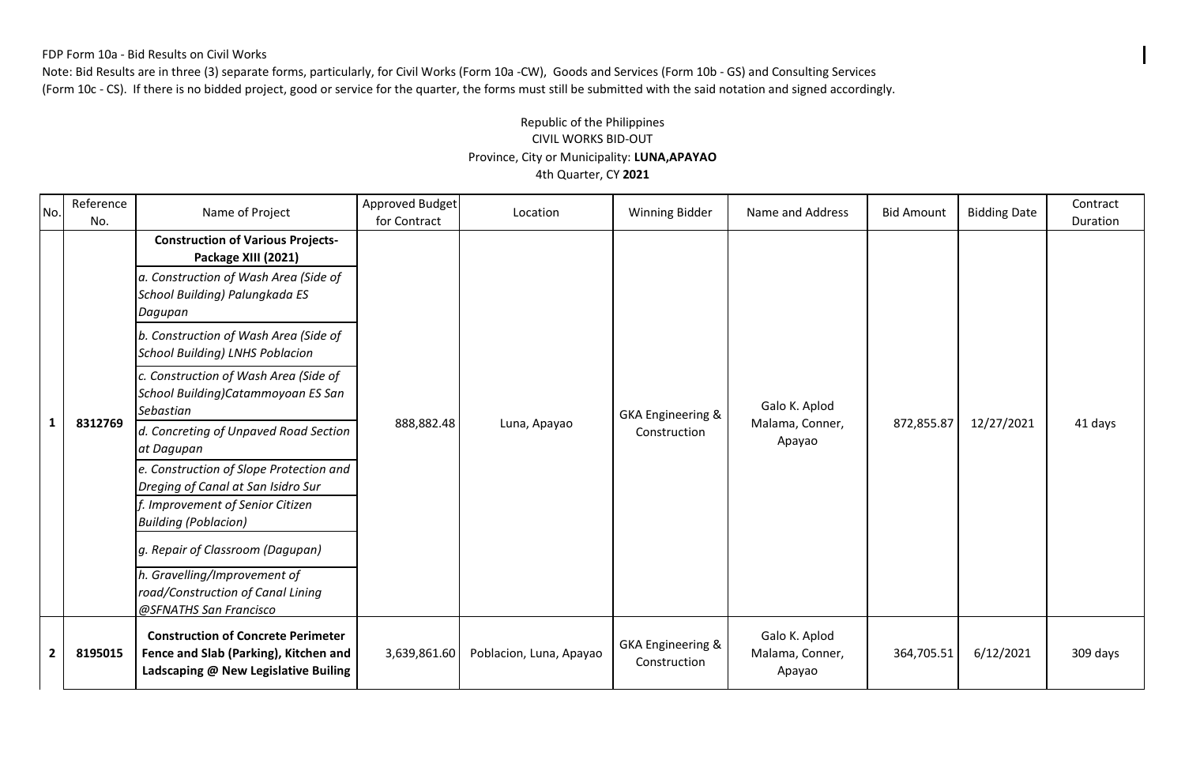#### FDP Form 10a - Bid Results on Civil Works

Note: Bid Results are in three (3) separate forms, particularly, for Civil Works (Form 10a -CW), Goods and Services (Form 10b - GS) and Consulting Services (Form 10c - CS). If there is no bidded project, good or service for the quarter, the forms must still be submitted with the said notation and signed accordingly.

### Province, City or Municipality: **LUNA,APAYAO** Republic of the Philippines CIVIL WORKS BID-OUT 4th Quarter, CY **2021**

| No.                     | Reference<br>No. | Name of Project                                                                                                            | Approved Budget<br>for Contract | Location                | <b>Winning Bidder</b>                        | Name and Address                           | <b>Bid Amount</b> | <b>Bidding Date</b> | Contract<br>Duration |
|-------------------------|------------------|----------------------------------------------------------------------------------------------------------------------------|---------------------------------|-------------------------|----------------------------------------------|--------------------------------------------|-------------------|---------------------|----------------------|
|                         | 8312769          | <b>Construction of Various Projects-</b><br>Package XIII (2021)                                                            | 888,882.48                      | Luna, Apayao            | <b>GKA Engineering &amp;</b><br>Construction | Galo K. Aplod<br>Malama, Conner,<br>Apayao | 872,855.87        | 12/27/2021          | 41 days              |
|                         |                  | a. Construction of Wash Area (Side of<br>School Building) Palungkada ES<br>Dagupan                                         |                                 |                         |                                              |                                            |                   |                     |                      |
|                         |                  | b. Construction of Wash Area (Side of<br><b>School Building) LNHS Poblacion</b>                                            |                                 |                         |                                              |                                            |                   |                     |                      |
|                         |                  | c. Construction of Wash Area (Side of<br>School Building)Catammoyoan ES San<br>Sebastian                                   |                                 |                         |                                              |                                            |                   |                     |                      |
| 1                       |                  | d. Concreting of Unpaved Road Section<br>at Dagupan                                                                        |                                 |                         |                                              |                                            |                   |                     |                      |
|                         |                  | e. Construction of Slope Protection and<br>Dreging of Canal at San Isidro Sur                                              |                                 |                         |                                              |                                            |                   |                     |                      |
|                         |                  | f. Improvement of Senior Citizen<br><b>Building (Poblacion)</b>                                                            |                                 |                         |                                              |                                            |                   |                     |                      |
|                         |                  | g. Repair of Classroom (Dagupan)                                                                                           |                                 |                         |                                              |                                            |                   |                     |                      |
|                         |                  | h. Gravelling/Improvement of<br>road/Construction of Canal Lining<br>@SFNATHS San Francisco                                |                                 |                         |                                              |                                            |                   |                     |                      |
| $\overline{\mathbf{2}}$ | 8195015          | <b>Construction of Concrete Perimeter</b><br>Fence and Slab (Parking), Kitchen and<br>Ladscaping @ New Legislative Builing | 3,639,861.60                    | Poblacion, Luna, Apayao | GKA Engineering &<br>Construction            | Galo K. Aplod<br>Malama, Conner,<br>Apayao | 364,705.51        | 6/12/2021           | 309 days             |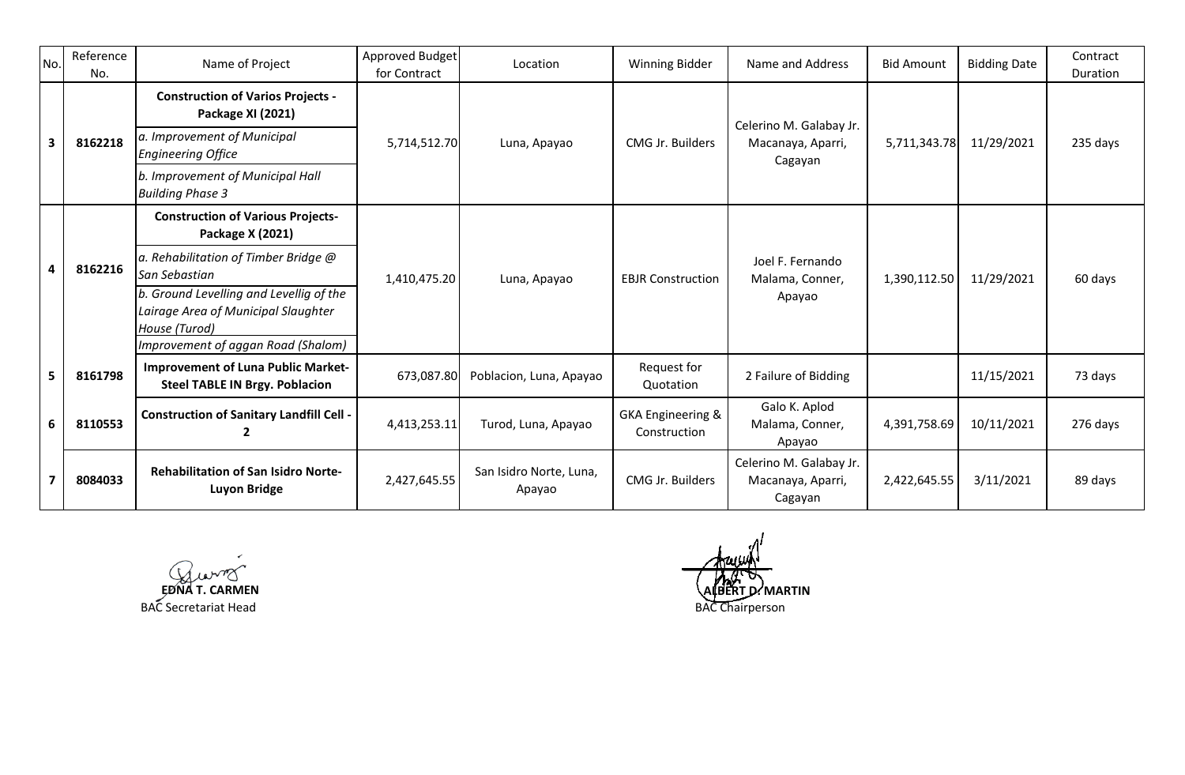| No.                     | Reference<br>No. | Name of Project                                                                                                                       | Approved Budget<br>for Contract | Location                          | <b>Winning Bidder</b>                        | Name and Address                                        | <b>Bid Amount</b> | <b>Bidding Date</b> | Contract<br>Duration |
|-------------------------|------------------|---------------------------------------------------------------------------------------------------------------------------------------|---------------------------------|-----------------------------------|----------------------------------------------|---------------------------------------------------------|-------------------|---------------------|----------------------|
|                         |                  | <b>Construction of Varios Projects -</b><br>Package XI (2021)                                                                         |                                 |                                   |                                              | Celerino M. Galabay Jr.                                 |                   |                     |                      |
| $\overline{\mathbf{3}}$ | 8162218          | a. Improvement of Municipal<br><b>Engineering Office</b>                                                                              | 5,714,512.70                    | Luna, Apayao                      | CMG Jr. Builders                             | Macanaya, Aparri,<br>Cagayan                            | 5,711,343.78      | 11/29/2021          | 235 days             |
|                         |                  | b. Improvement of Municipal Hall<br><b>Building Phase 3</b>                                                                           |                                 |                                   |                                              |                                                         |                   |                     |                      |
|                         |                  | <b>Construction of Various Projects-</b><br>Package X (2021)                                                                          |                                 |                                   |                                              |                                                         |                   |                     |                      |
| 4                       | 8162216          | a. Rehabilitation of Timber Bridge @<br>San Sebastian                                                                                 | 1,410,475.20                    | Luna, Apayao                      | <b>EBJR Construction</b>                     | Joel F. Fernando<br>Malama, Conner,<br>Apayao           | 1,390,112.50      | 11/29/2021          | 60 days              |
|                         |                  | b. Ground Levelling and Levellig of the<br>Lairage Area of Municipal Slaughter<br>House (Turod)<br>Improvement of aggan Road (Shalom) |                                 |                                   |                                              |                                                         |                   |                     |                      |
| 5                       | 8161798          | <b>Improvement of Luna Public Market-</b><br><b>Steel TABLE IN Brgy. Poblacion</b>                                                    | 673,087.80                      | Poblacion, Luna, Apayao           | Request for<br>Quotation                     | 2 Failure of Bidding                                    |                   | 11/15/2021          | 73 days              |
| 6                       | 8110553          | <b>Construction of Sanitary Landfill Cell -</b>                                                                                       | 4,413,253.11                    | Turod, Luna, Apayao               | <b>GKA Engineering &amp;</b><br>Construction | Galo K. Aplod<br>Malama, Conner,<br>Apayao              | 4,391,758.69      | 10/11/2021          | 276 days             |
|                         | 8084033          | <b>Rehabilitation of San Isidro Norte-</b><br>Luyon Bridge                                                                            | 2,427,645.55                    | San Isidro Norte, Luna,<br>Apayao | CMG Jr. Builders                             | Celerino M. Galabay Jr.<br>Macanaya, Aparri,<br>Cagayan | 2,422,645.55      | 3/11/2021           | 89 days              |

BAC Secretariat Head

BAC Chairperson **EDIT D. MARTIN**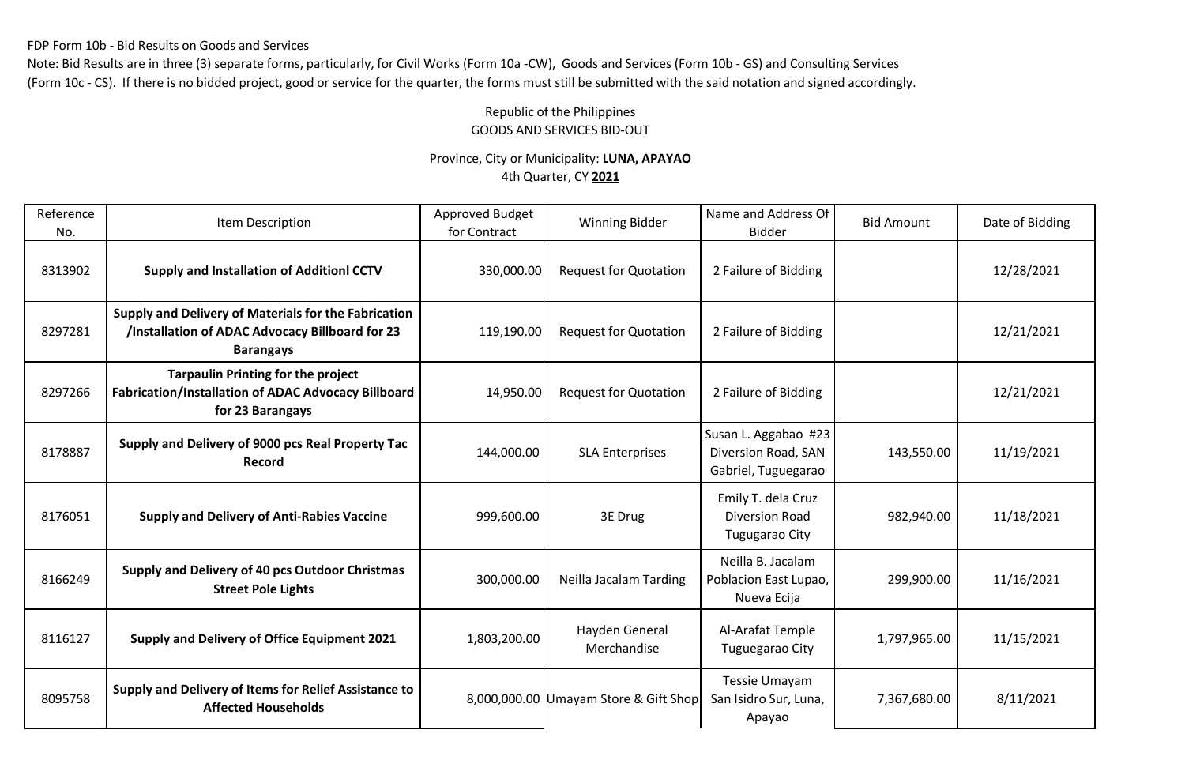FDP Form 10b - Bid Results on Goods and Services

Note: Bid Results are in three (3) separate forms, particularly, for Civil Works (Form 10a -CW), Goods and Services (Form 10b - GS) and Consulting Services (Form 10c - CS). If there is no bidded project, good or service for the quarter, the forms must still be submitted with the said notation and signed accordingly.

# Republic of the Philippines GOODS AND SERVICES BID-OUT

## Province, City or Municipality: **LUNA, APAYAO** 4th Quarter, CY **2021**

| Reference<br>No. | Item Description                                                                                                            | <b>Approved Budget</b><br>for Contract | <b>Winning Bidder</b>                 | Name and Address Of<br><b>Bid Amount</b><br><b>Bidder</b>          |              | Date of Bidding |  |
|------------------|-----------------------------------------------------------------------------------------------------------------------------|----------------------------------------|---------------------------------------|--------------------------------------------------------------------|--------------|-----------------|--|
| 8313902          | <b>Supply and Installation of Additionl CCTV</b>                                                                            | 330,000.00                             | <b>Request for Quotation</b>          | 2 Failure of Bidding                                               |              | 12/28/2021      |  |
| 8297281          | Supply and Delivery of Materials for the Fabrication<br>/Installation of ADAC Advocacy Billboard for 23<br><b>Barangays</b> | 119,190.00                             | <b>Request for Quotation</b>          | 2 Failure of Bidding                                               |              | 12/21/2021      |  |
| 8297266          | <b>Tarpaulin Printing for the project</b><br>Fabrication/Installation of ADAC Advocacy Billboard<br>for 23 Barangays        | 14,950.00                              | <b>Request for Quotation</b>          | 2 Failure of Bidding                                               |              | 12/21/2021      |  |
| 8178887          | Supply and Delivery of 9000 pcs Real Property Tac<br>Record                                                                 | 144,000.00                             | <b>SLA Enterprises</b>                | Susan L. Aggabao #23<br>Diversion Road, SAN<br>Gabriel, Tuguegarao | 143,550.00   | 11/19/2021      |  |
| 8176051          | <b>Supply and Delivery of Anti-Rabies Vaccine</b>                                                                           | 999,600.00                             | 3E Drug                               | Emily T. dela Cruz<br>Diversion Road<br>Tugugarao City             | 982,940.00   | 11/18/2021      |  |
| 8166249          | Supply and Delivery of 40 pcs Outdoor Christmas<br><b>Street Pole Lights</b>                                                | 300,000.00                             | Neilla Jacalam Tarding                | Neilla B. Jacalam<br>Poblacion East Lupao,<br>Nueva Ecija          | 299,900.00   | 11/16/2021      |  |
| 8116127          | Supply and Delivery of Office Equipment 2021                                                                                | 1,803,200.00                           | Hayden General<br>Merchandise         | Al-Arafat Temple<br>Tuguegarao City                                | 1,797,965.00 | 11/15/2021      |  |
| 8095758          | Supply and Delivery of Items for Relief Assistance to<br><b>Affected Households</b>                                         |                                        | 8,000,000.00 Umayam Store & Gift Shop | Tessie Umayam<br>San Isidro Sur, Luna,<br>Apayao                   | 7,367,680.00 | 8/11/2021       |  |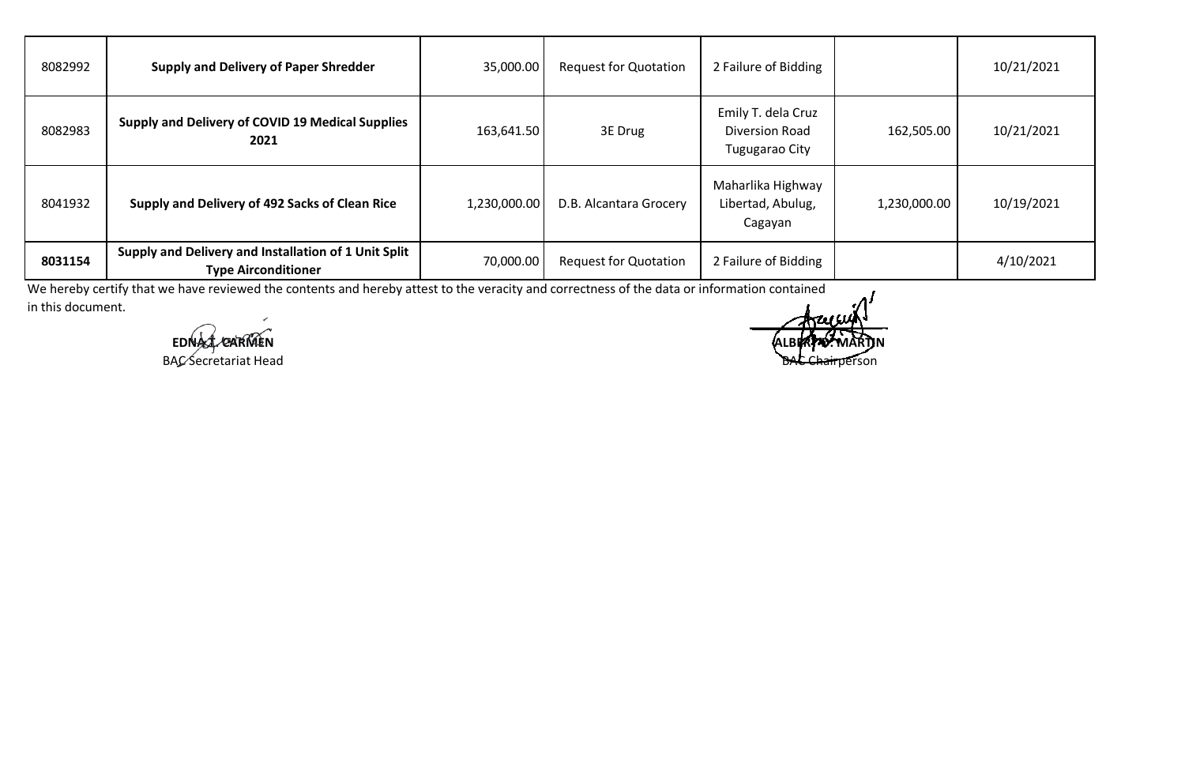| 8082992 | <b>Supply and Delivery of Paper Shredder</b>                                       | 35,000.00    | <b>Request for Quotation</b> | 2 Failure of Bidding                                   |              | 10/21/2021 |
|---------|------------------------------------------------------------------------------------|--------------|------------------------------|--------------------------------------------------------|--------------|------------|
| 8082983 | Supply and Delivery of COVID 19 Medical Supplies<br>2021                           | 163,641.50   | 3E Drug                      | Emily T. dela Cruz<br>Diversion Road<br>Tugugarao City | 162,505.00   | 10/21/2021 |
| 8041932 | Supply and Delivery of 492 Sacks of Clean Rice                                     | 1,230,000.00 | D.B. Alcantara Grocery       | Maharlika Highway<br>Libertad, Abulug,<br>Cagayan      | 1,230,000.00 | 10/19/2021 |
| 8031154 | Supply and Delivery and Installation of 1 Unit Split<br><b>Type Airconditioner</b> | 70,000.00    | <b>Request for Quotation</b> | 2 Failure of Bidding                                   |              | 4/10/2021  |

We hereby certify that we have reviewed the contents and hereby attest to the veracity and correctness of the data or information contained in this document.

**EDNA CARMEN** 

BAC Secretariat Head **BAC Chairperson**